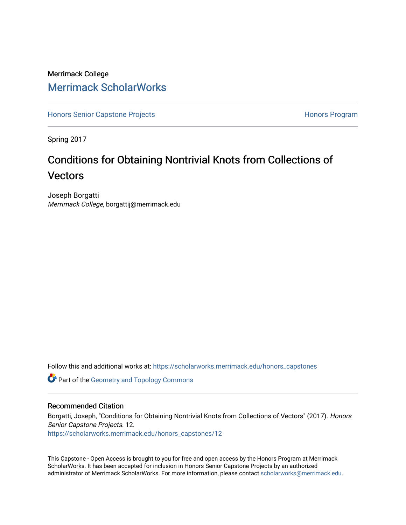## Merrimack College [Merrimack ScholarWorks](https://scholarworks.merrimack.edu/)

[Honors Senior Capstone Projects](https://scholarworks.merrimack.edu/honors_capstones) **Honors Program** Honors Program

Spring 2017

# Conditions for Obtaining Nontrivial Knots from Collections of **Vectors**

Joseph Borgatti Merrimack College, borgattij@merrimack.edu

Follow this and additional works at: [https://scholarworks.merrimack.edu/honors\\_capstones](https://scholarworks.merrimack.edu/honors_capstones?utm_source=scholarworks.merrimack.edu%2Fhonors_capstones%2F12&utm_medium=PDF&utm_campaign=PDFCoverPages)

**Part of the Geometry and Topology Commons** 

### Recommended Citation

Borgatti, Joseph, "Conditions for Obtaining Nontrivial Knots from Collections of Vectors" (2017). Honors Senior Capstone Projects. 12. [https://scholarworks.merrimack.edu/honors\\_capstones/12](https://scholarworks.merrimack.edu/honors_capstones/12?utm_source=scholarworks.merrimack.edu%2Fhonors_capstones%2F12&utm_medium=PDF&utm_campaign=PDFCoverPages) 

This Capstone - Open Access is brought to you for free and open access by the Honors Program at Merrimack ScholarWorks. It has been accepted for inclusion in Honors Senior Capstone Projects by an authorized administrator of Merrimack ScholarWorks. For more information, please contact [scholarworks@merrimack.edu](mailto:scholarworks@merrimack.edu).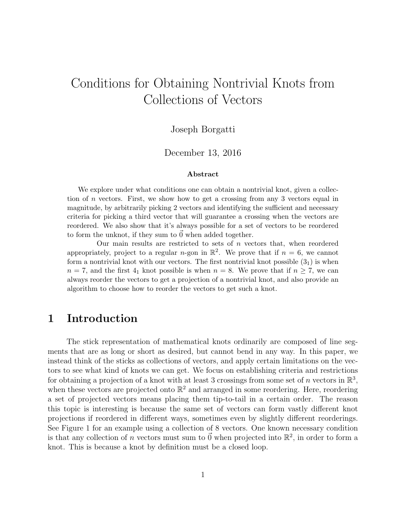# Conditions for Obtaining Nontrivial Knots from Collections of Vectors

### Joseph Borgatti

### December 13, 2016

#### Abstract

We explore under what conditions one can obtain a nontrivial knot, given a collection of *n* vectors. First, we show how to get a crossing from any 3 vectors equal in magnitude, by arbitrarily picking 2 vectors and identifying the sufficient and necessary criteria for picking a third vector that will guarantee a crossing when the vectors are reordered. We also show that it's always possible for a set of vectors to be reordered to form the unknot, if they sum to  $\ddot{0}$  when added together.

Our main results are restricted to sets of  $n$  vectors that, when reordered appropriately, project to a regular *n*-gon in  $\mathbb{R}^2$ . We prove that if  $n = 6$ , we cannot form a nontrivial knot with our vectors. The first nontrivial knot possible  $(3<sub>1</sub>)$  is when  $n = 7$ , and the first  $4<sub>1</sub>$  knot possible is when  $n = 8$ . We prove that if  $n \ge 7$ , we can always reorder the vectors to get a projection of a nontrivial knot, and also provide an algorithm to choose how to reorder the vectors to get such a knot.

### 1 Introduction

The stick representation of mathematical knots ordinarily are composed of line segments that are as long or short as desired, but cannot bend in any way. In this paper, we instead think of the sticks as collections of vectors, and apply certain limitations on the vectors to see what kind of knots we can get. We focus on establishing criteria and restrictions for obtaining a projection of a knot with at least 3 crossings from some set of n vectors in  $\mathbb{R}^3$ , when these vectors are projected onto  $\mathbb{R}^2$  and arranged in some reordering. Here, reordering a set of projected vectors means placing them tip-to-tail in a certain order. The reason this topic is interesting is because the same set of vectors can form vastly different knot projections if reordered in different ways, sometimes even by slightly different reorderings. See Figure 1 for an example using a collection of 8 vectors. One known necessary condition is that any collection of n vectors must sum to  $\vec{0}$  when projected into  $\mathbb{R}^2$ , in order to form a knot. This is because a knot by definition must be a closed loop.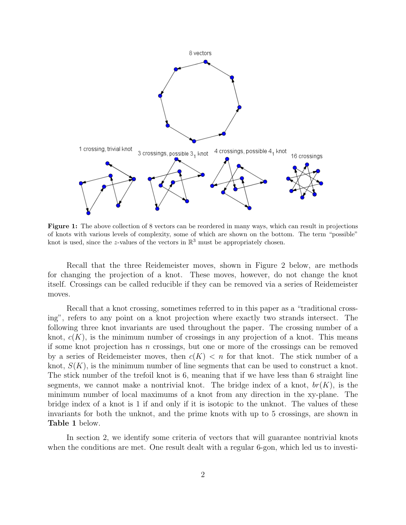

Figure 1: The above collection of 8 vectors can be reordered in many ways, which can result in projections of knots with various levels of complexity, some of which are shown on the bottom. The term "possible" knot is used, since the z-values of the vectors in  $\mathbb{R}^3$  must be appropriately chosen.

Recall that the three Reidemeister moves, shown in Figure 2 below, are methods for changing the projection of a knot. These moves, however, do not change the knot itself. Crossings can be called reducible if they can be removed via a series of Reidemeister moves.

Recall that a knot crossing, sometimes referred to in this paper as a "traditional crossing", refers to any point on a knot projection where exactly two strands intersect. The following three knot invariants are used throughout the paper. The crossing number of a knot,  $c(K)$ , is the minimum number of crossings in any projection of a knot. This means if some knot projection has  $n$  crossings, but one or more of the crossings can be removed by a series of Reidemeister moves, then  $c(K) < n$  for that knot. The stick number of a knot,  $S(K)$ , is the minimum number of line segments that can be used to construct a knot. The stick number of the trefoil knot is 6, meaning that if we have less than 6 straight line segments, we cannot make a nontrivial knot. The bridge index of a knot,  $br(K)$ , is the minimum number of local maximums of a knot from any direction in the xy-plane. The bridge index of a knot is 1 if and only if it is isotopic to the unknot. The values of these invariants for both the unknot, and the prime knots with up to 5 crossings, are shown in Table 1 below.

In section 2, we identify some criteria of vectors that will guarantee nontrivial knots when the conditions are met. One result dealt with a regular 6-gon, which led us to investi-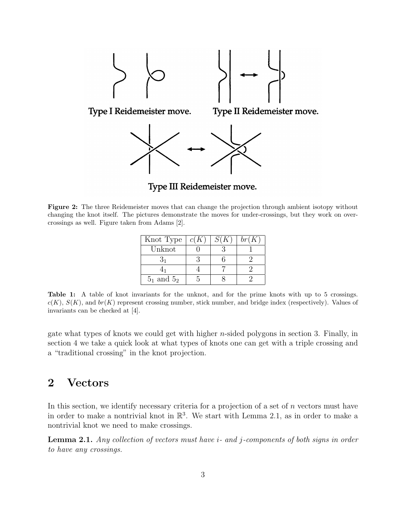

Type III Reidemeister move.

Figure 2: The three Reidemeister moves that can change the projection through ambient isotopy without changing the knot itself. The pictures demonstrate the moves for under-crossings, but they work on overcrossings as well. Figure taken from Adams [2].

| Knot Type     | c(K) | S(K) | br(K) |
|---------------|------|------|-------|
| Unknot        |      |      |       |
|               |      |      |       |
|               |      |      |       |
| $51$ and $52$ |      |      |       |

Table 1: A table of knot invariants for the unknot, and for the prime knots with up to 5 crossings.  $c(K), S(K),$  and  $br(K)$  represent crossing number, stick number, and bridge index (respectively). Values of invariants can be checked at [4].

gate what types of knots we could get with higher  $n$ -sided polygons in section 3. Finally, in section 4 we take a quick look at what types of knots one can get with a triple crossing and a "traditional crossing" in the knot projection.

### 2 Vectors

In this section, we identify necessary criteria for a projection of a set of  $n$  vectors must have in order to make a nontrivial knot in  $\mathbb{R}^3$ . We start with Lemma 2.1, as in order to make a nontrivial knot we need to make crossings.

Lemma 2.1. Any collection of vectors must have *i*- and *j*-components of both signs in order to have any crossings.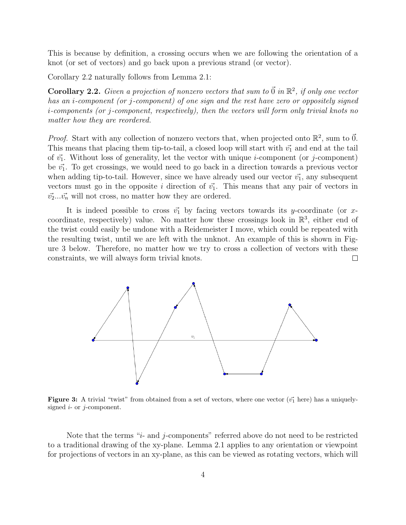This is because by definition, a crossing occurs when we are following the orientation of a knot (or set of vectors) and go back upon a previous strand (or vector).

Corollary 2.2 naturally follows from Lemma 2.1:

**Corollary 2.2.** Given a projection of nonzero vectors that sum to  $\vec{0}$  in  $\mathbb{R}^2$ , if only one vector has an i-component (or j-component) of one sign and the rest have zero or oppositely signed i-components (or j-component, respectively), then the vectors will form only trivial knots no matter how they are reordered.

*Proof.* Start with any collection of nonzero vectors that, when projected onto  $\mathbb{R}^2$ , sum to  $\vec{0}$ . This means that placing them tip-to-tail, a closed loop will start with  $\vec{v_1}$  and end at the tail of  $\vec{v_1}$ . Without loss of generality, let the vector with unique *i*-component (or j-component) be  $\vec{v_1}$ . To get crossings, we would need to go back in a direction towards a previous vector when adding tip-to-tail. However, since we have already used our vector  $\vec{v_1}$ , any subsequent vectors must go in the opposite i direction of  $\vec{v_1}$ . This means that any pair of vectors in  $\vec{v_2}...\vec{v_n}$  will not cross, no matter how they are ordered.

It is indeed possible to cross  $\vec{v_1}$  by facing vectors towards its y-coordinate (or xcoordinate, respectively) value. No matter how these crossings look in  $\mathbb{R}^3$ , either end of the twist could easily be undone with a Reidemeister I move, which could be repeated with the resulting twist, until we are left with the unknot. An example of this is shown in Figure 3 below. Therefore, no matter how we try to cross a collection of vectors with these constraints, we will always form trivial knots.  $\Box$ 



**Figure 3:** A trivial "twist" from obtained from a set of vectors, where one vector  $(\vec{v_1})$  here) has a uniquelysigned  $i$ - or  $j$ -component.

Note that the terms "*i*- and *j*-components" referred above do not need to be restricted to a traditional drawing of the xy-plane. Lemma 2.1 applies to any orientation or viewpoint for projections of vectors in an xy-plane, as this can be viewed as rotating vectors, which will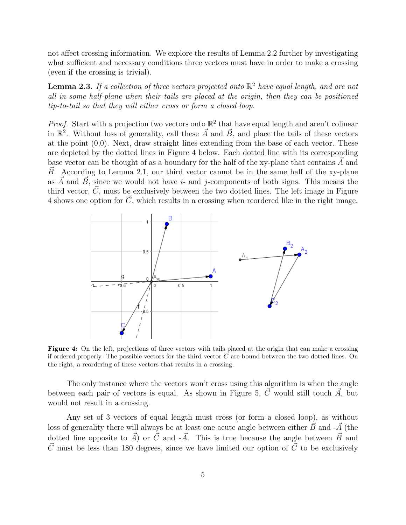not affect crossing information. We explore the results of Lemma 2.2 further by investigating what sufficient and necessary conditions three vectors must have in order to make a crossing (even if the crossing is trivial).

**Lemma 2.3.** If a collection of three vectors projected onto  $\mathbb{R}^2$  have equal length, and are not all in some half-plane when their tails are placed at the origin, then they can be positioned tip-to-tail so that they will either cross or form a closed loop.

*Proof.* Start with a projection two vectors onto  $\mathbb{R}^2$  that have equal length and aren't colinear in  $\mathbb{R}^2$ . Without loss of generality, call these  $\vec{A}$  and  $\vec{B}$ , and place the tails of these vectors at the point (0,0). Next, draw straight lines extending from the base of each vector. These are depicted by the dotted lines in Figure 4 below. Each dotted line with its corresponding base vector can be thought of as a boundary for the half of the xy-plane that contains  $\ddot{A}$  and  $B$ . According to Lemma 2.1, our third vector cannot be in the same half of the xy-plane as  $\vec{A}$  and  $\vec{B}$ , since we would not have i- and j-components of both signs. This means the third vector,  $\vec{C}$ , must be exclusively between the two dotted lines. The left image in Figure 4 shows one option for  $\vec{C}$ , which results in a crossing when reordered like in the right image.



Figure 4: On the left, projections of three vectors with tails placed at the origin that can make a crossing if ordered properly. The possible vectors for the third vector  $\vec{C}$  are bound between the two dotted lines. On the right, a reordering of these vectors that results in a crossing.

The only instance where the vectors won't cross using this algorithm is when the angle between each pair of vectors is equal. As shown in Figure 5,  $\vec{C}$  would still touch  $\vec{A}$ , but would not result in a crossing.

Any set of 3 vectors of equal length must cross (or form a closed loop), as without loss of generality there will always be at least one acute angle between either  $\vec{B}~$  and  $-\vec{A}~$  (the dotted line opposite to  $\vec{A}$  or  $\vec{C}$  and  $-\vec{A}$ . This is true because the angle between  $\vec{B}$  and  $\vec{C}$  must be less than 180 degrees, since we have limited our option of  $\vec{C}$  to be exclusively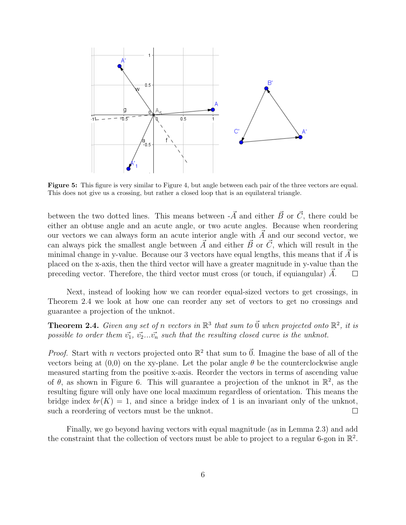

Figure 5: This figure is very similar to Figure 4, but angle between each pair of the three vectors are equal. This does not give us a crossing, but rather a closed loop that is an equilateral triangle.

between the two dotted lines. This means between  $-\vec{A}$  and either  $\vec{B}~$  or  $\vec{C}$ , there could be either an obtuse angle and an acute angle, or two acute angles. Because when reordering our vectors we can always form an acute interior angle with  $A$  and our second vector, we can always pick the smallest angle between  $\vec{A}$  and either  $\vec{B}~$  or  $\vec{C}$ , which will result in the minimal change in y-value. Because our 3 vectors have equal lengths, this means that if  $\tilde{A}$  is placed on the x-axis, then the third vector will have a greater magnitude in y-value than the preceding vector. Therefore, the third vector must cross (or touch, if equiangular)  $\tilde{A}$ .  $\Box$ 

Next, instead of looking how we can reorder equal-sized vectors to get crossings, in Theorem 2.4 we look at how one can reorder any set of vectors to get no crossings and guarantee a projection of the unknot.

**Theorem 2.4.** Given any set of n vectors in  $\mathbb{R}^3$  that sum to  $\vec{0}$  when projected onto  $\mathbb{R}^2$ , it is possible to order them  $\vec{v_1}$ ,  $\vec{v_2}...\vec{v_n}$  such that the resulting closed curve is the unknot.

*Proof.* Start with *n* vectors projected onto  $\mathbb{R}^2$  that sum to  $\vec{0}$ . Imagine the base of all of the vectors being at  $(0,0)$  on the xy-plane. Let the polar angle  $\theta$  be the counterclockwise angle measured starting from the positive x-axis. Reorder the vectors in terms of ascending value of  $\theta$ , as shown in Figure 6. This will guarantee a projection of the unknot in  $\mathbb{R}^2$ , as the resulting figure will only have one local maximum regardless of orientation. This means the bridge index  $br(K) = 1$ , and since a bridge index of 1 is an invariant only of the unknot, such a reordering of vectors must be the unknot.  $\Box$ 

Finally, we go beyond having vectors with equal magnitude (as in Lemma 2.3) and add the constraint that the collection of vectors must be able to project to a regular 6-gon in  $\mathbb{R}^2$ .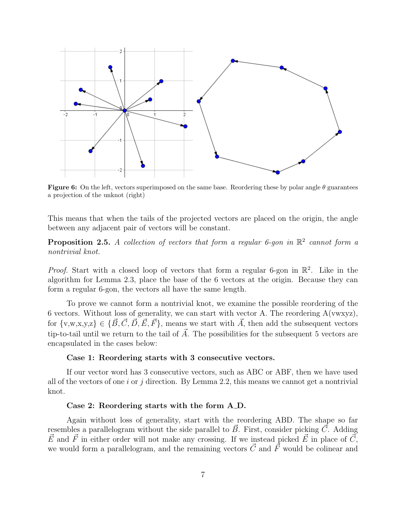

**Figure 6:** On the left, vectors superimposed on the same base. Reordering these by polar angle  $\theta$  guarantees a projection of the unknot (right)

This means that when the tails of the projected vectors are placed on the origin, the angle between any adjacent pair of vectors will be constant.

**Proposition 2.5.** A collection of vectors that form a regular 6-gon in  $\mathbb{R}^2$  cannot form a nontrivial knot.

*Proof.* Start with a closed loop of vectors that form a regular 6-gon in  $\mathbb{R}^2$ . Like in the algorithm for Lemma 2.3, place the base of the 6 vectors at the origin. Because they can form a regular 6-gon, the vectors all have the same length.

To prove we cannot form a nontrivial knot, we examine the possible reordering of the 6 vectors. Without loss of generality, we can start with vector A. The reordering  $A(vwxyz)$ , for  $\{v,w,x,y,z\} \in \{\vec{B}, \vec{C}, \vec{D}, \vec{E}, \vec{F}\}$ , means we start with  $\vec{A}$ , then add the subsequent vectors tip-to-tail until we return to the tail of  $\vec{A}$ . The possibilities for the subsequent 5 vectors are encapsulated in the cases below:

#### Case 1: Reordering starts with 3 consecutive vectors.

If our vector word has 3 consecutive vectors, such as ABC or ABF, then we have used all of the vectors of one  $i$  or  $j$  direction. By Lemma 2.2, this means we cannot get a nontrivial knot.

#### Case 2: Reordering starts with the form A D.

Again without loss of generality, start with the reordering ABD. The shape so far resembles a parallelogram without the side parallel to  $\vec{B}$ . First, consider picking  $\vec{C}$ . Adding  $\vec{E}$  and  $\vec{F}$  in either order will not make any crossing. If we instead picked  $\vec{E}$  in place of  $\vec{C}$ , we would form a parallelogram, and the remaining vectors  $\vec{C}$  and  $\vec{F}$  would be colinear and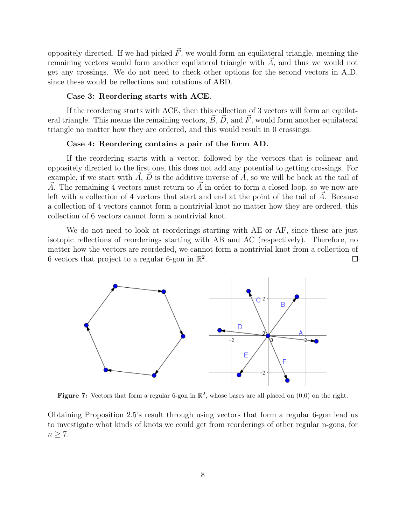oppositely directed. If we had picked  $\vec{F}$ , we would form an equilateral triangle, meaning the remaining vectors would form another equilateral triangle with  $\vec{A}$ , and thus we would not get any crossings. We do not need to check other options for the second vectors in  $A.D$ , since these would be reflections and rotations of ABD.

#### Case 3: Reordering starts with ACE.

If the reordering starts with ACE, then this collection of 3 vectors will form an equilateral triangle. This means the remaining vectors,  $\vec{B}$ ,  $\vec{D}$ , and  $\vec{F}$ , would form another equilateral triangle no matter how they are ordered, and this would result in 0 crossings.

#### Case 4: Reordering contains a pair of the form AD.

If the reordering starts with a vector, followed by the vectors that is colinear and oppositely directed to the first one, this does not add any potential to getting crossings. For example, if we start with  $\vec{A}, \vec{D}$  is the additive inverse of  $\vec{A}$ , so we will be back at the tail of  $\vec{A}$ . The remaining 4 vectors must return to  $\vec{A}$  in order to form a closed loop, so we now are left with a collection of 4 vectors that start and end at the point of the tail of  $\vec{A}$ . Because a collection of 4 vectors cannot form a nontrivial knot no matter how they are ordered, this collection of 6 vectors cannot form a nontrivial knot.

We do not need to look at reorderings starting with AE or AF, since these are just isotopic reflections of reorderings starting with AB and AC (respectively). Therefore, no matter how the vectors are reordeded, we cannot form a nontrivial knot from a collection of 6 vectors that project to a regular 6-gon in  $\mathbb{R}^2$ .  $\Box$ 



Figure 7: Vectors that form a regular 6-gon in  $\mathbb{R}^2$ , whose bases are all placed on  $(0,0)$  on the right.

Obtaining Proposition 2.5's result through using vectors that form a regular 6-gon lead us to investigate what kinds of knots we could get from reorderings of other regular n-gons, for  $n \geq 7$ .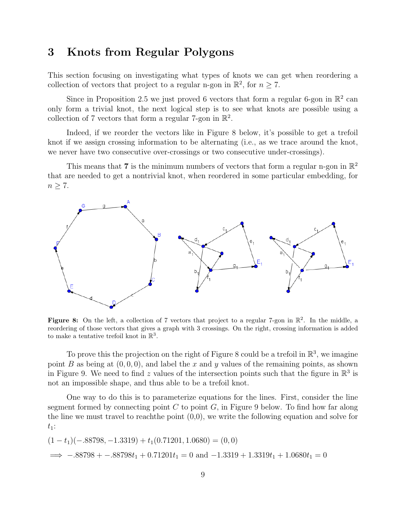### 3 Knots from Regular Polygons

This section focusing on investigating what types of knots we can get when reordering a collection of vectors that project to a regular n-gon in  $\mathbb{R}^2$ , for  $n \geq 7$ .

Since in Proposition 2.5 we just proved 6 vectors that form a regular 6-gon in  $\mathbb{R}^2$  can only form a trivial knot, the next logical step is to see what knots are possible using a collection of 7 vectors that form a regular 7-gon in  $\mathbb{R}^2$ .

Indeed, if we reorder the vectors like in Figure 8 below, it's possible to get a trefoil knot if we assign crossing information to be alternating (i.e., as we trace around the knot, we never have two consecutive over-crossings or two consecutive under-crossings).

This means that 7 is the minimum numbers of vectors that form a regular n-gon in  $\mathbb{R}^2$ that are needed to get a nontrivial knot, when reordered in some particular embedding, for  $n \geq 7$ .



Figure 8: On the left, a collection of 7 vectors that project to a regular 7-gon in  $\mathbb{R}^2$ . In the middle, a reordering of those vectors that gives a graph with 3 crossings. On the right, crossing information is added to make a tentative trefoil knot in  $\mathbb{R}^3$ .

To prove this the projection on the right of Figure 8 could be a trefoil in  $\mathbb{R}^3$ , we imagine point B as being at  $(0, 0, 0)$ , and label the x and y values of the remaining points, as shown in Figure 9. We need to find z values of the intersection points such that the figure in  $\mathbb{R}^3$  is not an impossible shape, and thus able to be a trefoil knot.

One way to do this is to parameterize equations for the lines. First, consider the line segment formed by connecting point  $C$  to point  $G$ , in Figure 9 below. To find how far along the line we must travel to reach the point  $(0,0)$ , we write the following equation and solve for  $t_1$ :

$$
(1 - t1)(-.88798, -1.3319) + t1(0.71201, 1.0680) = (0, 0)
$$
  

$$
\implies -.88798 + -.88798t1 + 0.71201t1 = 0 \text{ and } -1.3319 + 1.3319t1 + 1.0680t1 = 0
$$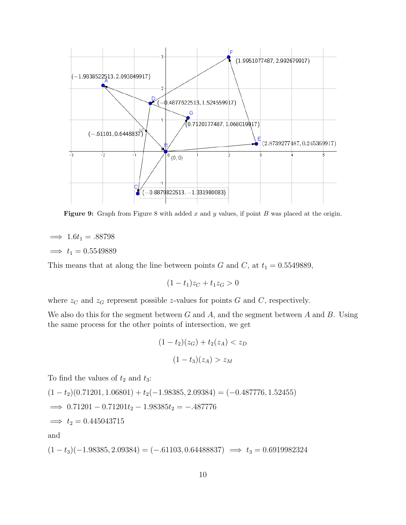

**Figure 9:** Graph from Figure 8 with added x and y values, if point B was placed at the origin.

 $\implies$  1.6t<sub>1</sub> = .88798  $\implies t_1 = 0.5549889$ 

This means that at along the line between points G and C, at  $t_1 = 0.5549889$ ,

 $(1-t_1)z_C + t_1z_G > 0$ 

where  $z_C$  and  $z_G$  represent possible z-values for points G and C, respectively.

We also do this for the segment between  $G$  and  $A$ , and the segment between  $A$  and  $B$ . Using the same process for the other points of intersection, we get

$$
(1 - t_2)(z_G) + t_2(z_A) < z_D
$$
\n
$$
(1 - t_3)(z_A) > z_M
$$

To find the values of  $t_2$  and  $t_3$ :

$$
(1 - t2)(0.71201, 1.06801) + t2(-1.98385, 2.09384) = (-0.487776, 1.52455)
$$
  
\n
$$
\implies 0.71201 - 0.71201t2 - 1.98385t2 = -.487776
$$
  
\n
$$
\implies t2 = 0.445043715
$$
  
\nand

 $(1 - t_3)(-1.98385, 2.09384) = (-.61103, 0.64488837) \implies t_3 = 0.6919982324$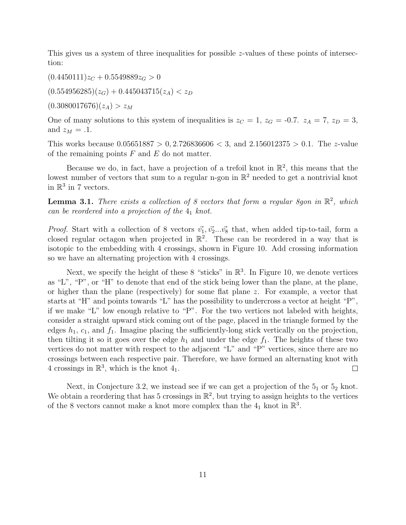This gives us a system of three inequalities for possible z-values of these points of intersection:

 $(0.4450111)z_C + 0.5549889z_G > 0$ 

 $(0.554956285)(z_G) + 0.445043715(z_A) < z_D$ 

 $(0.3080017676)(z_A) > z_M$ 

One of many solutions to this system of inequalities is  $z_C = 1$ ,  $z_G = -0.7$ .  $z_A = 7$ ,  $z_D = 3$ , and  $z_M = .1$ .

This works because  $0.05651887 > 0, 2.726836606 < 3$ , and  $2.156012375 > 0.1$ . The z-value of the remaining points  $F$  and  $E$  do not matter.

Because we do, in fact, have a projection of a trefoil knot in  $\mathbb{R}^2$ , this means that the lowest number of vectors that sum to a regular n-gon in  $\mathbb{R}^2$  needed to get a nontrivial knot in  $\mathbb{R}^3$  in 7 vectors.

**Lemma 3.1.** There exists a collection of 8 vectors that form a regular 8gon in  $\mathbb{R}^2$ , which can be reordered into a projection of the  $4<sub>1</sub>$  knot.

*Proof.* Start with a collection of 8 vectors  $\vec{v_1}, \vec{v_2}...\vec{v_8}$  that, when added tip-to-tail, form a closed regular octagon when projected in  $\mathbb{R}^2$ . These can be reordered in a way that is isotopic to the embedding with 4 crossings, shown in Figure 10. Add crossing information so we have an alternating projection with 4 crossings.

Next, we specify the height of these 8 "sticks" in  $\mathbb{R}^3$ . In Figure 10, we denote vertices as "L", "P", or "H" to denote that end of the stick being lower than the plane, at the plane, or higher than the plane (respectively) for some flat plane z. For example, a vector that starts at "H" and points towards "L" has the possibility to undercross a vector at height "P", if we make "L" low enough relative to "P". For the two vertices not labeled with heights, consider a straight upward stick coming out of the page, placed in the triangle formed by the edges  $h_1$ ,  $c_1$ , and  $f_1$ . Imagine placing the sufficiently-long stick vertically on the projection, then tilting it so it goes over the edge  $h_1$  and under the edge  $f_1$ . The heights of these two vertices do not matter with respect to the adjacent "L" and "P" vertices, since there are no crossings between each respective pair. Therefore, we have formed an alternating knot with 4 crossings in  $\mathbb{R}^3$ , which is the knot 4<sub>1</sub>.  $\Box$ 

Next, in Conjecture 3.2, we instead see if we can get a projection of the  $5<sub>1</sub>$  or  $5<sub>2</sub>$  knot. We obtain a reordering that has 5 crossings in  $\mathbb{R}^2$ , but trying to assign heights to the vertices of the 8 vectors cannot make a knot more complex than the  $4<sub>1</sub>$  knot in  $\mathbb{R}^3$ .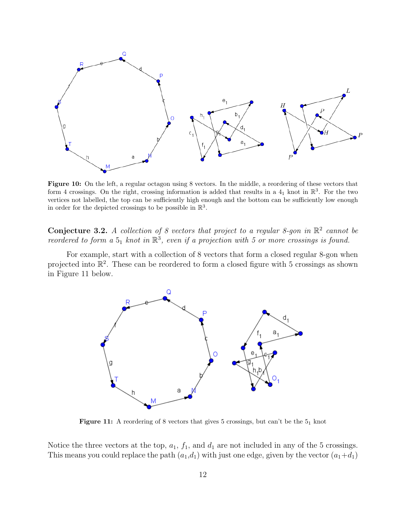

Figure 10: On the left, a regular octagon using 8 vectors. In the middle, a reordering of these vectors that form 4 crossings. On the right, crossing information is added that results in a  $4<sub>1</sub>$  knot in  $\mathbb{R}^3$ . For the two vertices not labelled, the top can be sufficiently high enough and the bottom can be sufficiently low enough in order for the depicted crossings to be possible in  $\mathbb{R}^3$ .

**Conjecture 3.2.** A collection of 8 vectors that project to a regular 8-gon in  $\mathbb{R}^2$  cannot be reordered to form a  $5<sub>1</sub>$  knot in  $\mathbb{R}^3$ , even if a projection with 5 or more crossings is found.

For example, start with a collection of 8 vectors that form a closed regular 8-gon when projected into  $\mathbb{R}^2$ . These can be reordered to form a closed figure with 5 crossings as shown in Figure 11 below.



**Figure 11:** A reordering of 8 vectors that gives 5 crossings, but can't be the  $5<sub>1</sub>$  knot

Notice the three vectors at the top,  $a_1$ ,  $f_1$ , and  $d_1$  are not included in any of the 5 crossings. This means you could replace the path  $(a_1,d_1)$  with just one edge, given by the vector  $(a_1+d_1)$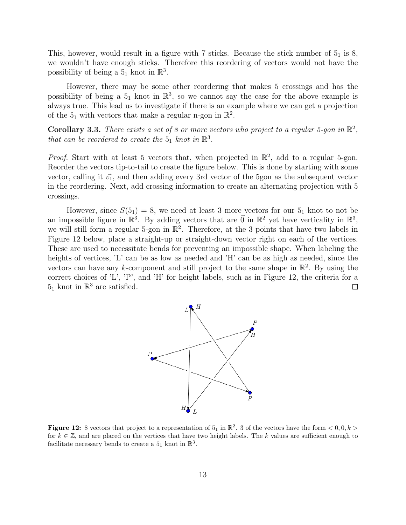This, however, would result in a figure with 7 sticks. Because the stick number of  $5<sub>1</sub>$  is 8, we wouldn't have enough sticks. Therefore this reordering of vectors would not have the possibility of being a  $5<sub>1</sub>$  knot in  $\mathbb{R}^3$ .

However, there may be some other reordering that makes 5 crossings and has the possibility of being a  $5<sub>1</sub>$  knot in  $\mathbb{R}^3$ , so we cannot say the case for the above example is always true. This lead us to investigate if there is an example where we can get a projection of the  $5<sub>1</sub>$  with vectors that make a regular n-gon in  $\mathbb{R}^2$ .

**Corollary 3.3.** There exists a set of 8 or more vectors who project to a regular 5-gon in  $\mathbb{R}^2$ , that can be reordered to create the  $5<sub>1</sub>$  knot in  $\mathbb{R}^3$ .

*Proof.* Start with at least 5 vectors that, when projected in  $\mathbb{R}^2$ , add to a regular 5-gon. Reorder the vectors tip-to-tail to create the figure below. This is done by starting with some vector, calling it  $\vec{v_1}$ , and then adding every 3rd vector of the 5gon as the subsequent vector in the reordering. Next, add crossing information to create an alternating projection with 5 crossings.

However, since  $S(5<sub>1</sub>) = 8$ , we need at least 3 more vectors for our  $5<sub>1</sub>$  knot to not be an impossible figure in  $\mathbb{R}^3$ . By adding vectors that are  $\vec{0}$  in  $\mathbb{R}^2$  yet have verticality in  $\mathbb{R}^3$ , we will still form a regular 5-gon in  $\mathbb{R}^2$ . Therefore, at the 3 points that have two labels in Figure 12 below, place a straight-up or straight-down vector right on each of the vertices. These are used to necessitate bends for preventing an impossible shape. When labeling the heights of vertices, 'L' can be as low as needed and 'H' can be as high as needed, since the vectors can have any k-component and still project to the same shape in  $\mathbb{R}^2$ . By using the correct choices of 'L', 'P', and 'H' for height labels, such as in Figure 12, the criteria for a  $5_1$  knot in  $\mathbb{R}^3$  are satisfied.  $\Box$ 



**Figure 12:** 8 vectors that project to a representation of  $5<sub>1</sub>$  in  $\mathbb{R}^2$ . 3 of the vectors have the form  $\lt 0, 0, k >$ for  $k \in \mathbb{Z}$ , and are placed on the vertices that have two height labels. The k values are sufficient enough to facilitate necessary bends to create a  $5<sub>1</sub>$  knot in  $\mathbb{R}^3$ .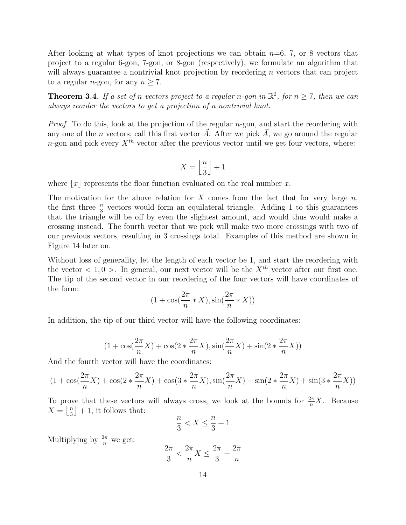After looking at what types of knot projections we can obtain  $n=6, 7,$  or 8 vectors that project to a regular 6-gon, 7-gon, or 8-gon (respectively), we formulate an algorithm that will always guarantee a nontrivial knot projection by reordering n vectors that can project to a regular *n*-gon, for any  $n \geq 7$ .

**Theorem 3.4.** If a set of n vectors project to a regular n-gon in  $\mathbb{R}^2$ , for  $n \geq 7$ , then we can always reorder the vectors to get a projection of a nontrivial knot.

*Proof.* To do this, look at the projection of the regular  $n$ -gon, and start the reordering with any one of the *n* vectors; call this first vector  $\vec{A}$ . After we pick  $\vec{A}$ , we go around the regular n-gon and pick every  $X^{th}$  vector after the previous vector until we get four vectors, where:

$$
X = \left\lfloor \frac{n}{3} \right\rfloor + 1
$$

where  $|x|$  represents the floor function evaluated on the real number x.

The motivation for the above relation for X comes from the fact that for very large  $n$ , the first three  $\frac{n}{3}$  vectors would form an equilateral triangle. Adding 1 to this guarantees that the triangle will be off by even the slightest amount, and would thus would make a crossing instead. The fourth vector that we pick will make two more crossings with two of our previous vectors, resulting in 3 crossings total. Examples of this method are shown in Figure 14 later on.

Without loss of generality, let the length of each vector be 1, and start the reordering with the vector  $\langle 1, 0 \rangle$ . In general, our next vector will be the  $X^{th}$  vector after our first one. The tip of the second vector in our reordering of the four vectors will have coordinates of the form:

$$
(1 + \cos(\frac{2\pi}{n} * X), \sin(\frac{2\pi}{n} * X))
$$

In addition, the tip of our third vector will have the following coordinates:

$$
(1+\cos(\frac{2\pi}{n}X)+\cos(2*\frac{2\pi}{n}X),\sin(\frac{2\pi}{n}X)+\sin(2*\frac{2\pi}{n}X))
$$

And the fourth vector will have the coordinates:

$$
(1 + \cos(\frac{2\pi}{n}X) + \cos(2*\frac{2\pi}{n}X) + \cos(3*\frac{2\pi}{n}X), \sin(\frac{2\pi}{n}X) + \sin(2*\frac{2\pi}{n}X) + \sin(3*\frac{2\pi}{n}X))
$$

To prove that these vectors will always cross, we look at the bounds for  $\frac{2\pi}{n}X$ . Because  $X=\left\lfloor \frac{n}{3} \right\rfloor$  $\frac{n}{3}$  + 1, it follows that:

$$
\frac{n}{3} < X \le \frac{n}{3} + 1
$$

Multiplying by  $\frac{2\pi}{n}$  we get:

$$
\frac{2\pi}{3} < \frac{2\pi}{n}X \le \frac{2\pi}{3} + \frac{2\pi}{n}
$$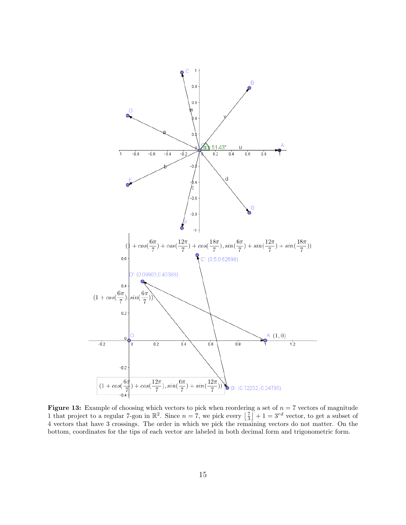

**Figure 13:** Example of choosing which vectors to pick when reordering a set of  $n = 7$  vectors of magnitude 1 that project to a regular 7-gon in  $\mathbb{R}^2$ . Since  $n = 7$ , we pick every  $\left\lfloor \frac{7}{3} \right\rfloor + 1 = 3^{rd}$  vector, to get a subset of 4 vectors that have 3 crossings. The order in which we pick the remaining vectors do not matter. On the bottom, coordinates for the tips of each vector are labeled in both decimal form and trigonometric form.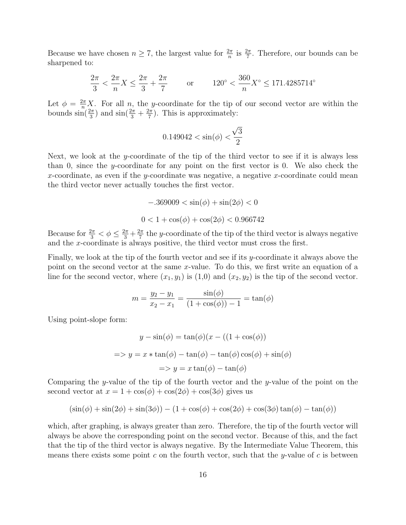Because we have chosen  $n \geq 7$ , the largest value for  $\frac{2\pi}{n}$  is  $\frac{2\pi}{7}$ . Therefore, our bounds can be sharpened to:

$$
\frac{2\pi}{3} < \frac{2\pi}{n} X \le \frac{2\pi}{3} + \frac{2\pi}{7} \qquad \text{or} \qquad 120^\circ < \frac{360}{n} X^\circ \le 171.4285714^\circ
$$

Let  $\phi = \frac{2\pi}{n} X$ . For all n, the y-coordinate for the tip of our second vector are within the bounds  $\sin(\frac{2\pi}{3})$  and  $\sin(\frac{2\pi}{3} + \frac{2\pi}{7})$  $\frac{2\pi}{7}$ ). This is approximately:

$$
0.149042 < \sin(\phi) < \frac{\sqrt{3}}{2}
$$

Next, we look at the y-coordinate of the tip of the third vector to see if it is always less than 0, since the y-coordinate for any point on the first vector is 0. We also check the x-coordinate, as even if the y-coordinate was negative, a negative x-coordinate could mean the third vector never actually touches the first vector.

$$
-.369009 < \sin(\phi) + \sin(2\phi) < 0
$$
  

$$
0 < 1 + \cos(\phi) + \cos(2\phi) < 0.966742
$$

Because for  $\frac{2\pi}{3} < \phi \leq \frac{2\pi}{3} + \frac{2\pi}{7}$  $\frac{2\pi}{7}$  the y-coordinate of the tip of the third vector is always negative and the x-coordinate is always positive, the third vector must cross the first.

Finally, we look at the tip of the fourth vector and see if its y-coordinate it always above the point on the second vector at the same x-value. To do this, we first write an equation of a line for the second vector, where  $(x_1, y_1)$  is  $(1,0)$  and  $(x_2, y_2)$  is the tip of the second vector.

$$
m = \frac{y_2 - y_1}{x_2 - x_1} = \frac{\sin(\phi)}{(1 + \cos(\phi)) - 1} = \tan(\phi)
$$

Using point-slope form:

$$
y - \sin(\phi) = \tan(\phi)(x - ((1 + \cos(\phi)))
$$

$$
=> y = x * \tan(\phi) - \tan(\phi) - \tan(\phi)\cos(\phi) + \sin(\phi)
$$

$$
=> y = x \tan(\phi) - \tan(\phi)
$$

Comparing the y-value of the tip of the fourth vector and the y-value of the point on the second vector at  $x = 1 + \cos(\phi) + \cos(2\phi) + \cos(3\phi)$  gives us

$$
(\sin(\phi) + \sin(2\phi) + \sin(3\phi)) - (1 + \cos(\phi) + \cos(2\phi) + \cos(3\phi)\tan(\phi) - \tan(\phi))
$$

which, after graphing, is always greater than zero. Therefore, the tip of the fourth vector will always be above the corresponding point on the second vector. Because of this, and the fact that the tip of the third vector is always negative. By the Intermediate Value Theorem, this means there exists some point  $c$  on the fourth vector, such that the y-value of  $c$  is between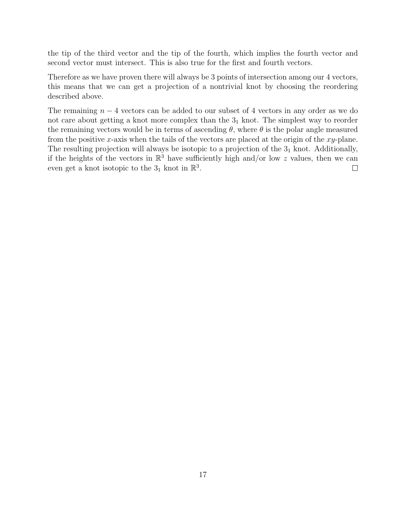the tip of the third vector and the tip of the fourth, which implies the fourth vector and second vector must intersect. This is also true for the first and fourth vectors.

Therefore as we have proven there will always be 3 points of intersection among our 4 vectors, this means that we can get a projection of a nontrivial knot by choosing the reordering described above.

The remaining  $n-4$  vectors can be added to our subset of 4 vectors in any order as we do not care about getting a knot more complex than the  $3<sub>1</sub>$  knot. The simplest way to reorder the remaining vectors would be in terms of ascending  $\theta$ , where  $\theta$  is the polar angle measured from the positive x-axis when the tails of the vectors are placed at the origin of the  $xy$ -plane. The resulting projection will always be isotopic to a projection of the  $3<sub>1</sub>$  knot. Additionally, if the heights of the vectors in  $\mathbb{R}^3$  have sufficiently high and/or low z values, then we can even get a knot isotopic to the  $3_1$  knot in  $\mathbb{R}^3$ .  $\Box$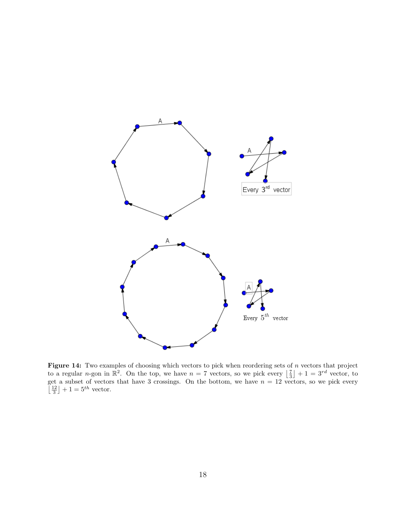

Figure 14: Two examples of choosing which vectors to pick when reordering sets of  $n$  vectors that project to a regular *n*-gon in  $\mathbb{R}^2$ . On the top, we have  $n = 7$  vectors, so we pick every  $\left\lfloor \frac{7}{3} \right\rfloor + 1 = 3^{rd}$  vector, to get a subset of vectors that have 3 crossings. On the bottom, we have  $n = 12$  vectors, so we pick every  $\left\lfloor \frac{12}{3} \right\rfloor + 1 = 5^{th}$  vector.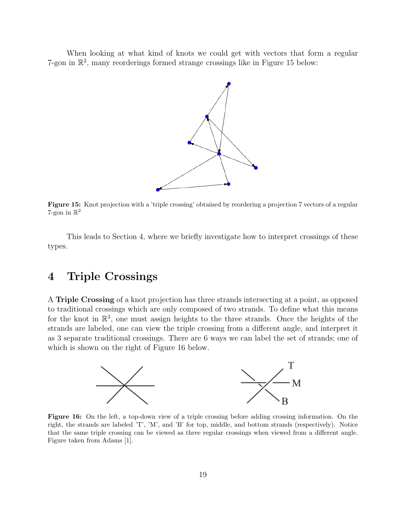When looking at what kind of knots we could get with vectors that form a regular 7-gon in  $\mathbb{R}^2$ , many reorderings formed strange crossings like in Figure 15 below:



Figure 15: Knot projection with a 'triple crossing' obtained by reordering a projection 7 vectors of a regular 7-gon in  $\mathbb{R}^2$ 

This leads to Section 4, where we briefly investigate how to interpret crossings of these types.

## 4 Triple Crossings

A Triple Crossing of a knot projection has three strands intersecting at a point, as opposed to traditional crossings which are only composed of two strands. To define what this means for the knot in  $\mathbb{R}^3$ , one must assign heights to the three strands. Once the heights of the strands are labeled, one can view the triple crossing from a different angle, and interpret it as 3 separate traditional crossings. There are 6 ways we can label the set of strands; one of which is shown on the right of Figure 16 below.



Figure 16: On the left, a top-down view of a triple crossing before adding crossing information. On the right, the strands are labeled 'T', 'M', and 'B' for top, middle, and bottom strands (respectively). Notice that the same triple crossing can be viewed as three regular crossings when viewed from a different angle. Figure taken from Adams [1].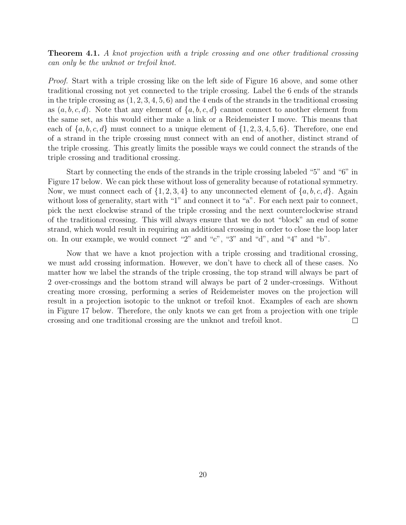**Theorem 4.1.** A knot projection with a triple crossing and one other traditional crossing can only be the unknot or trefoil knot.

Proof. Start with a triple crossing like on the left side of Figure 16 above, and some other traditional crossing not yet connected to the triple crossing. Label the 6 ends of the strands in the triple crossing as  $(1, 2, 3, 4, 5, 6)$  and the 4 ends of the strands in the traditional crossing as  $(a, b, c, d)$ . Note that any element of  $\{a, b, c, d\}$  cannot connect to another element from the same set, as this would either make a link or a Reidemeister I move. This means that each of  $\{a, b, c, d\}$  must connect to a unique element of  $\{1, 2, 3, 4, 5, 6\}$ . Therefore, one end of a strand in the triple crossing must connect with an end of another, distinct strand of the triple crossing. This greatly limits the possible ways we could connect the strands of the triple crossing and traditional crossing.

Start by connecting the ends of the strands in the triple crossing labeled "5" and "6" in Figure 17 below. We can pick these without loss of generality because of rotational symmetry. Now, we must connect each of  $\{1, 2, 3, 4\}$  to any unconnected element of  $\{a, b, c, d\}$ . Again without loss of generality, start with "1" and connect it to "a". For each next pair to connect, pick the next clockwise strand of the triple crossing and the next counterclockwise strand of the traditional crossing. This will always ensure that we do not "block" an end of some strand, which would result in requiring an additional crossing in order to close the loop later on. In our example, we would connect "2" and "c", "3" and "d", and "4" and "b".

Now that we have a knot projection with a triple crossing and traditional crossing, we must add crossing information. However, we don't have to check all of these cases. No matter how we label the strands of the triple crossing, the top strand will always be part of 2 over-crossings and the bottom strand will always be part of 2 under-crossings. Without creating more crossing, performing a series of Reidemeister moves on the projection will result in a projection isotopic to the unknot or trefoil knot. Examples of each are shown in Figure 17 below. Therefore, the only knots we can get from a projection with one triple crossing and one traditional crossing are the unknot and trefoil knot.  $\Box$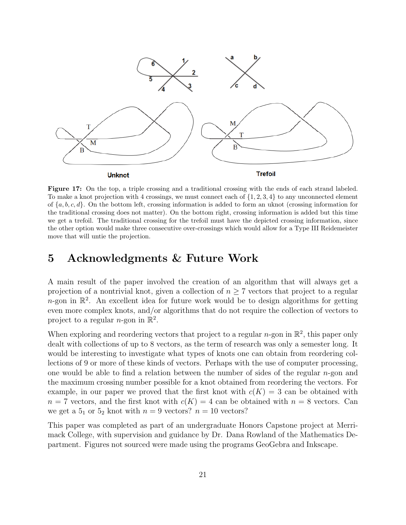

Figure 17: On the top, a triple crossing and a traditional crossing with the ends of each strand labeled. To make a knot projection with 4 crossings, we must connect each of  $\{1, 2, 3, 4\}$  to any unconnected element of  $\{a, b, c, d\}$ . On the bottom left, crossing information is added to form an uknot (crossing information for the traditional crossing does not matter). On the bottom right, crossing information is added but this time we get a trefoil. The traditional crossing for the trefoil must have the depicted crossing information, since the other option would make three consecutive over-crossings which would allow for a Type III Reidemeister move that will untie the projection.

### 5 Acknowledgments & Future Work

A main result of the paper involved the creation of an algorithm that will always get a projection of a nontrivial knot, given a collection of  $n \geq 7$  vectors that project to a regular  $n$ -gon in  $\mathbb{R}^2$ . An excellent idea for future work would be to design algorithms for getting even more complex knots, and/or algorithms that do not require the collection of vectors to project to a regular *n*-gon in  $\mathbb{R}^2$ .

When exploring and reordering vectors that project to a regular *n*-gon in  $\mathbb{R}^2$ , this paper only dealt with collections of up to 8 vectors, as the term of research was only a semester long. It would be interesting to investigate what types of knots one can obtain from reordering collections of 9 or more of these kinds of vectors. Perhaps with the use of computer processing, one would be able to find a relation between the number of sides of the regular  $n$ -gon and the maximum crossing number possible for a knot obtained from reordering the vectors. For example, in our paper we proved that the first knot with  $c(K) = 3$  can be obtained with  $n = 7$  vectors, and the first knot with  $c(K) = 4$  can be obtained with  $n = 8$  vectors. Can we get a  $5<sub>1</sub>$  or  $5<sub>2</sub>$  knot with  $n = 9$  vectors?  $n = 10$  vectors?

This paper was completed as part of an undergraduate Honors Capstone project at Merrimack College, with supervision and guidance by Dr. Dana Rowland of the Mathematics Department. Figures not sourced were made using the programs GeoGebra and Inkscape.